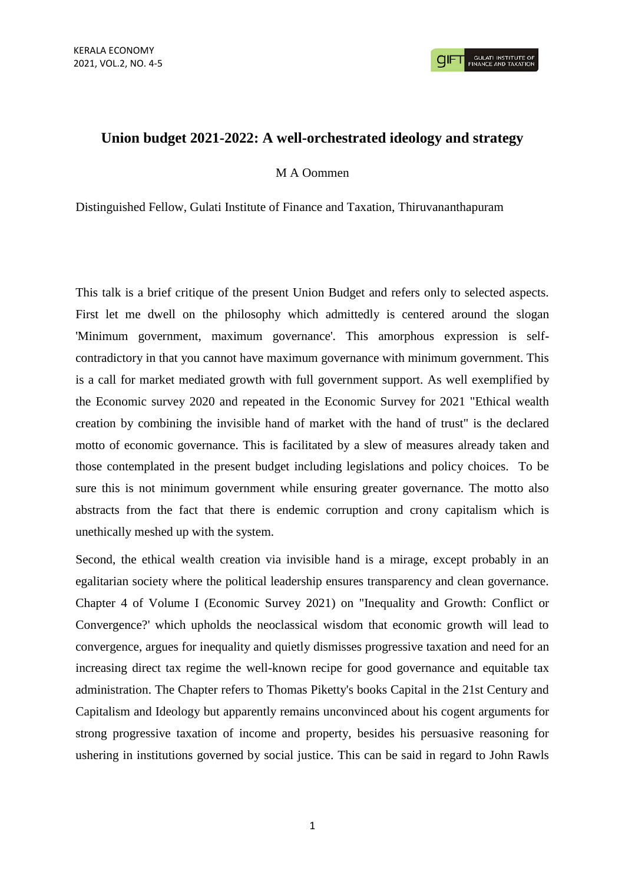# **Union budget 2021-2022: A well-orchestrated ideology and strategy**

## M A Oommen

Distinguished Fellow, Gulati Institute of Finance and Taxation, Thiruvananthapuram

This talk is a brief critique of the present Union Budget and refers only to selected aspects. First let me dwell on the philosophy which admittedly is centered around the slogan 'Minimum government, maximum governance'. This amorphous expression is selfcontradictory in that you cannot have maximum governance with minimum government. This is a call for market mediated growth with full government support. As well exemplified by the Economic survey 2020 and repeated in the Economic Survey for 2021 "Ethical wealth creation by combining the invisible hand of market with the hand of trust" is the declared motto of economic governance. This is facilitated by a slew of measures already taken and those contemplated in the present budget including legislations and policy choices. To be sure this is not minimum government while ensuring greater governance. The motto also abstracts from the fact that there is endemic corruption and crony capitalism which is unethically meshed up with the system.

Second, the ethical wealth creation via invisible hand is a mirage, except probably in an egalitarian society where the political leadership ensures transparency and clean governance. Chapter 4 of Volume I (Economic Survey 2021) on "Inequality and Growth: Conflict or Convergence?' which upholds the neoclassical wisdom that economic growth will lead to convergence, argues for inequality and quietly dismisses progressive taxation and need for an increasing direct tax regime the well-known recipe for good governance and equitable tax administration. The Chapter refers to Thomas Piketty's books Capital in the 21st Century and Capitalism and Ideology but apparently remains unconvinced about his cogent arguments for strong progressive taxation of income and property, besides his persuasive reasoning for ushering in institutions governed by social justice. This can be said in regard to John Rawls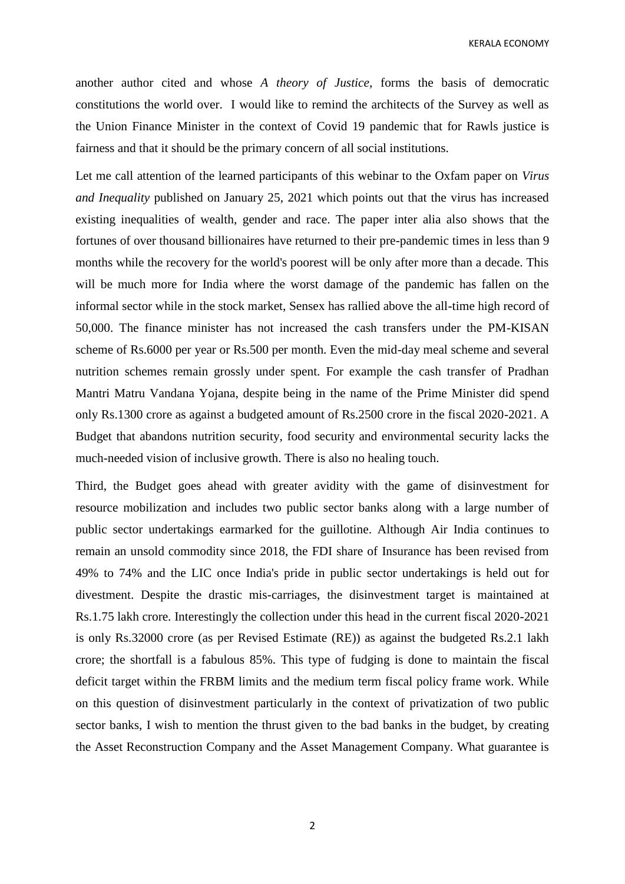KERALA ECONOMY

another author cited and whose *A theory of Justice*, forms the basis of democratic constitutions the world over. I would like to remind the architects of the Survey as well as the Union Finance Minister in the context of Covid 19 pandemic that for Rawls justice is fairness and that it should be the primary concern of all social institutions.

Let me call attention of the learned participants of this webinar to the Oxfam paper on *Virus and Inequality* published on January 25, 2021 which points out that the virus has increased existing inequalities of wealth, gender and race. The paper inter alia also shows that the fortunes of over thousand billionaires have returned to their pre-pandemic times in less than 9 months while the recovery for the world's poorest will be only after more than a decade. This will be much more for India where the worst damage of the pandemic has fallen on the informal sector while in the stock market, Sensex has rallied above the all-time high record of 50,000. The finance minister has not increased the cash transfers under the PM-KISAN scheme of Rs.6000 per year or Rs.500 per month. Even the mid-day meal scheme and several nutrition schemes remain grossly under spent. For example the cash transfer of Pradhan Mantri Matru Vandana Yojana, despite being in the name of the Prime Minister did spend only Rs.1300 crore as against a budgeted amount of Rs.2500 crore in the fiscal 2020-2021. A Budget that abandons nutrition security, food security and environmental security lacks the much-needed vision of inclusive growth. There is also no healing touch.

Third, the Budget goes ahead with greater avidity with the game of disinvestment for resource mobilization and includes two public sector banks along with a large number of public sector undertakings earmarked for the guillotine. Although Air India continues to remain an unsold commodity since 2018, the FDI share of Insurance has been revised from 49% to 74% and the LIC once India's pride in public sector undertakings is held out for divestment. Despite the drastic mis-carriages, the disinvestment target is maintained at Rs.1.75 lakh crore. Interestingly the collection under this head in the current fiscal 2020-2021 is only Rs.32000 crore (as per Revised Estimate (RE)) as against the budgeted Rs.2.1 lakh crore; the shortfall is a fabulous 85%. This type of fudging is done to maintain the fiscal deficit target within the FRBM limits and the medium term fiscal policy frame work. While on this question of disinvestment particularly in the context of privatization of two public sector banks, I wish to mention the thrust given to the bad banks in the budget, by creating the Asset Reconstruction Company and the Asset Management Company. What guarantee is

2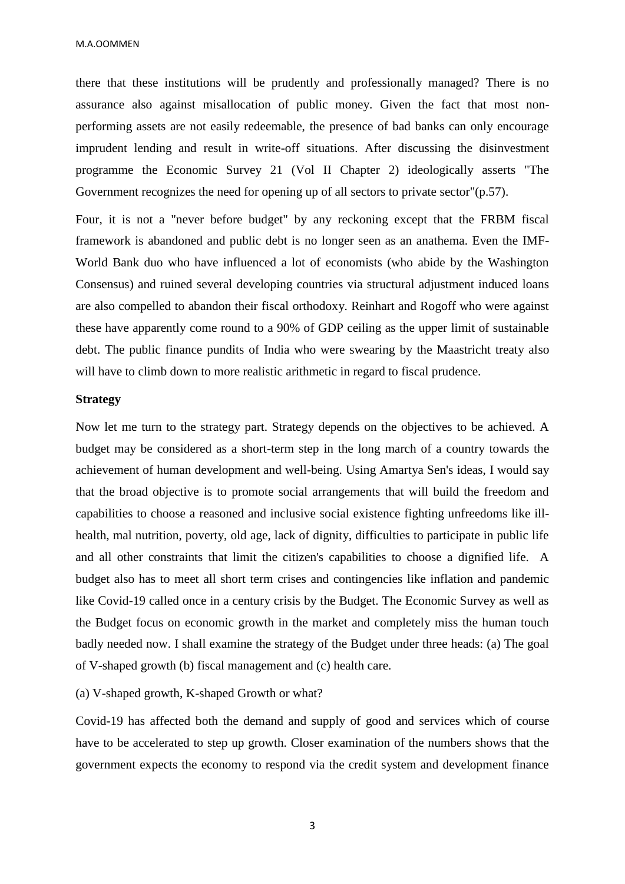M.A.OOMMEN

there that these institutions will be prudently and professionally managed? There is no assurance also against misallocation of public money. Given the fact that most nonperforming assets are not easily redeemable, the presence of bad banks can only encourage imprudent lending and result in write-off situations. After discussing the disinvestment programme the Economic Survey 21 (Vol II Chapter 2) ideologically asserts "The Government recognizes the need for opening up of all sectors to private sector"(p.57).

Four, it is not a "never before budget" by any reckoning except that the FRBM fiscal framework is abandoned and public debt is no longer seen as an anathema. Even the IMF-World Bank duo who have influenced a lot of economists (who abide by the Washington Consensus) and ruined several developing countries via structural adjustment induced loans are also compelled to abandon their fiscal orthodoxy. Reinhart and Rogoff who were against these have apparently come round to a 90% of GDP ceiling as the upper limit of sustainable debt. The public finance pundits of India who were swearing by the Maastricht treaty also will have to climb down to more realistic arithmetic in regard to fiscal prudence.

#### **Strategy**

Now let me turn to the strategy part. Strategy depends on the objectives to be achieved. A budget may be considered as a short-term step in the long march of a country towards the achievement of human development and well-being. Using Amartya Sen's ideas, I would say that the broad objective is to promote social arrangements that will build the freedom and capabilities to choose a reasoned and inclusive social existence fighting unfreedoms like illhealth, mal nutrition, poverty, old age, lack of dignity, difficulties to participate in public life and all other constraints that limit the citizen's capabilities to choose a dignified life. A budget also has to meet all short term crises and contingencies like inflation and pandemic like Covid-19 called once in a century crisis by the Budget. The Economic Survey as well as the Budget focus on economic growth in the market and completely miss the human touch badly needed now. I shall examine the strategy of the Budget under three heads: (a) The goal of V-shaped growth (b) fiscal management and (c) health care.

### (a) V-shaped growth, K-shaped Growth or what?

Covid-19 has affected both the demand and supply of good and services which of course have to be accelerated to step up growth. Closer examination of the numbers shows that the government expects the economy to respond via the credit system and development finance

3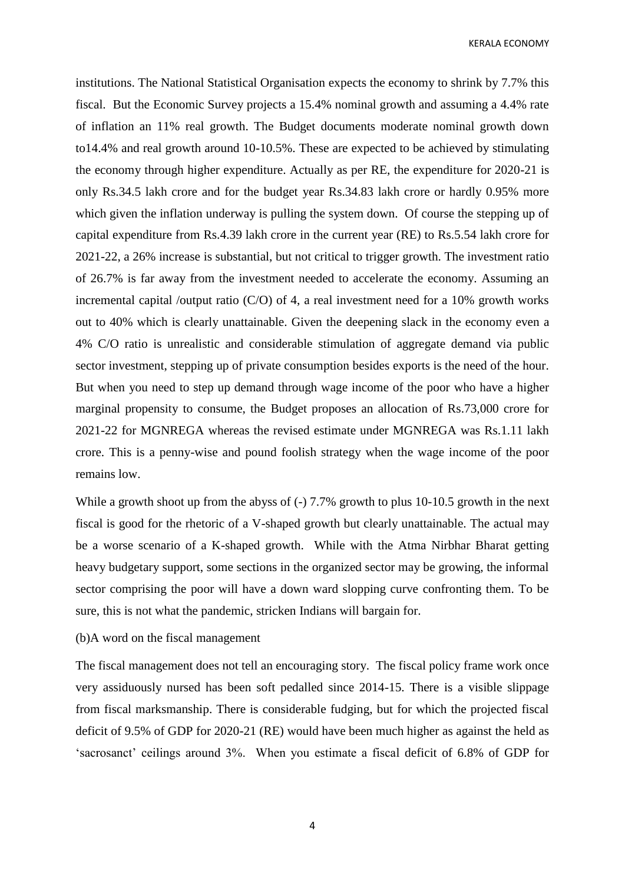KERALA ECONOMY

institutions. The National Statistical Organisation expects the economy to shrink by 7.7% this fiscal. But the Economic Survey projects a 15.4% nominal growth and assuming a 4.4% rate of inflation an 11% real growth. The Budget documents moderate nominal growth down to14.4% and real growth around 10-10.5%. These are expected to be achieved by stimulating the economy through higher expenditure. Actually as per RE, the expenditure for 2020-21 is only Rs.34.5 lakh crore and for the budget year Rs.34.83 lakh crore or hardly 0.95% more which given the inflation underway is pulling the system down. Of course the stepping up of capital expenditure from Rs.4.39 lakh crore in the current year (RE) to Rs.5.54 lakh crore for 2021-22, a 26% increase is substantial, but not critical to trigger growth. The investment ratio of 26.7% is far away from the investment needed to accelerate the economy. Assuming an incremental capital /output ratio  $(C/O)$  of 4, a real investment need for a 10% growth works out to 40% which is clearly unattainable. Given the deepening slack in the economy even a 4% C/O ratio is unrealistic and considerable stimulation of aggregate demand via public sector investment, stepping up of private consumption besides exports is the need of the hour. But when you need to step up demand through wage income of the poor who have a higher marginal propensity to consume, the Budget proposes an allocation of Rs.73,000 crore for 2021-22 for MGNREGA whereas the revised estimate under MGNREGA was Rs.1.11 lakh crore. This is a penny-wise and pound foolish strategy when the wage income of the poor remains low.

While a growth shoot up from the abyss of (-) 7.7% growth to plus 10-10.5 growth in the next fiscal is good for the rhetoric of a V-shaped growth but clearly unattainable. The actual may be a worse scenario of a K-shaped growth. While with the Atma Nirbhar Bharat getting heavy budgetary support, some sections in the organized sector may be growing, the informal sector comprising the poor will have a down ward slopping curve confronting them. To be sure, this is not what the pandemic, stricken Indians will bargain for.

#### (b)A word on the fiscal management

The fiscal management does not tell an encouraging story. The fiscal policy frame work once very assiduously nursed has been soft pedalled since 2014-15. There is a visible slippage from fiscal marksmanship. There is considerable fudging, but for which the projected fiscal deficit of 9.5% of GDP for 2020-21 (RE) would have been much higher as against the held as 'sacrosanct' ceilings around 3%. When you estimate a fiscal deficit of 6.8% of GDP for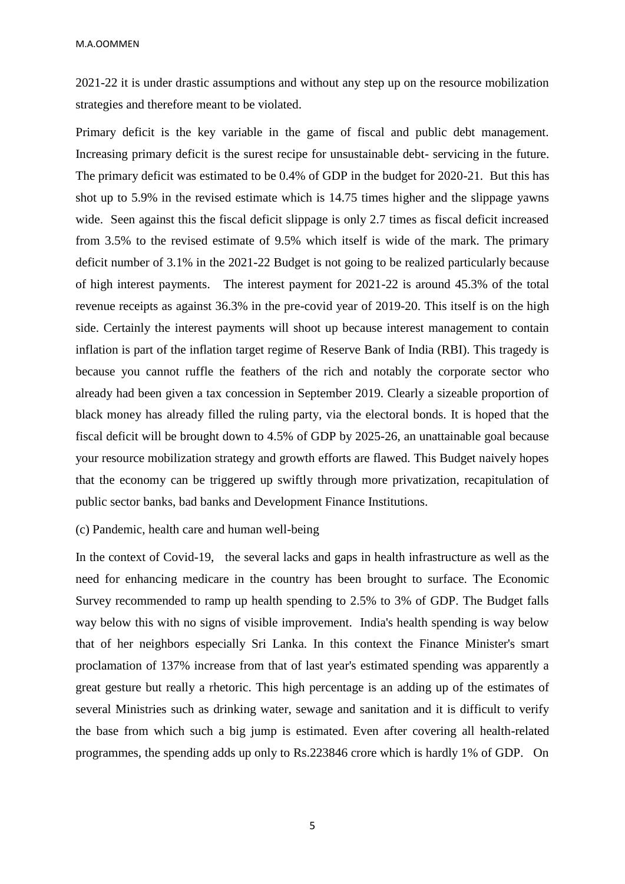2021-22 it is under drastic assumptions and without any step up on the resource mobilization strategies and therefore meant to be violated.

Primary deficit is the key variable in the game of fiscal and public debt management. Increasing primary deficit is the surest recipe for unsustainable debt- servicing in the future. The primary deficit was estimated to be 0.4% of GDP in the budget for 2020-21. But this has shot up to 5.9% in the revised estimate which is 14.75 times higher and the slippage yawns wide. Seen against this the fiscal deficit slippage is only 2.7 times as fiscal deficit increased from 3.5% to the revised estimate of 9.5% which itself is wide of the mark. The primary deficit number of 3.1% in the 2021-22 Budget is not going to be realized particularly because of high interest payments. The interest payment for 2021-22 is around 45.3% of the total revenue receipts as against 36.3% in the pre-covid year of 2019-20. This itself is on the high side. Certainly the interest payments will shoot up because interest management to contain inflation is part of the inflation target regime of Reserve Bank of India (RBI). This tragedy is because you cannot ruffle the feathers of the rich and notably the corporate sector who already had been given a tax concession in September 2019. Clearly a sizeable proportion of black money has already filled the ruling party, via the electoral bonds. It is hoped that the fiscal deficit will be brought down to 4.5% of GDP by 2025-26, an unattainable goal because your resource mobilization strategy and growth efforts are flawed. This Budget naively hopes that the economy can be triggered up swiftly through more privatization, recapitulation of public sector banks, bad banks and Development Finance Institutions.

# (c) Pandemic, health care and human well-being

In the context of Covid-19, the several lacks and gaps in health infrastructure as well as the need for enhancing medicare in the country has been brought to surface. The Economic Survey recommended to ramp up health spending to 2.5% to 3% of GDP. The Budget falls way below this with no signs of visible improvement. India's health spending is way below that of her neighbors especially Sri Lanka. In this context the Finance Minister's smart proclamation of 137% increase from that of last year's estimated spending was apparently a great gesture but really a rhetoric. This high percentage is an adding up of the estimates of several Ministries such as drinking water, sewage and sanitation and it is difficult to verify the base from which such a big jump is estimated. Even after covering all health-related programmes, the spending adds up only to Rs.223846 crore which is hardly 1% of GDP. On